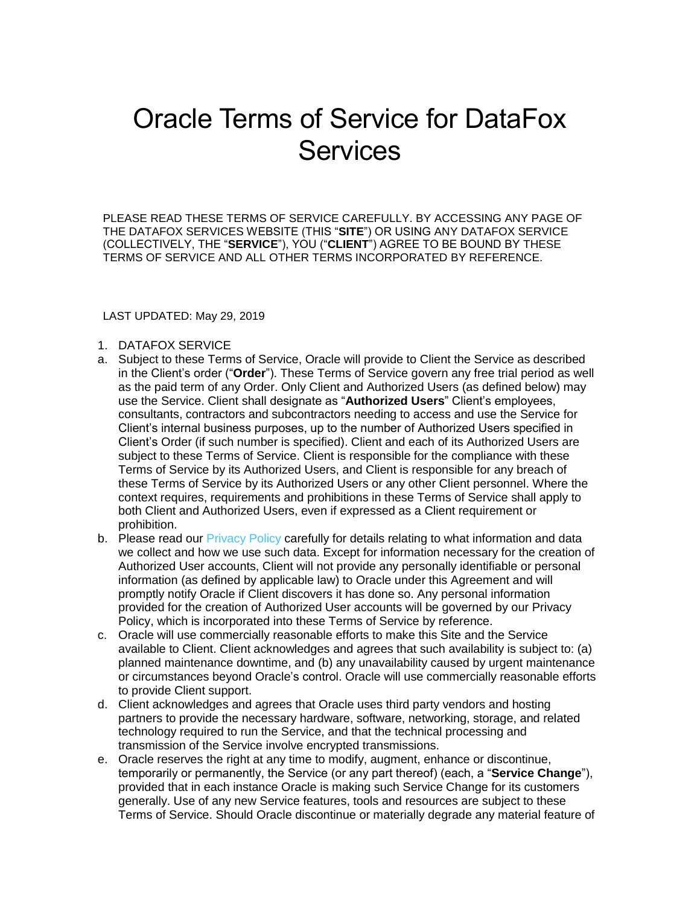## Oracle Terms of Service for DataFox **Services**

PLEASE READ THESE TERMS OF SERVICE CAREFULLY. BY ACCESSING ANY PAGE OF THE DATAFOX SERVICES WEBSITE (THIS "**SITE**") OR USING ANY DATAFOX SERVICE (COLLECTIVELY, THE "**SERVICE**"), YOU ("**CLIENT**") AGREE TO BE BOUND BY THESE TERMS OF SERVICE AND ALL OTHER TERMS INCORPORATED BY REFERENCE.

## LAST UPDATED: May 29, 2019

- 1. DATAFOX SERVICE
- a. Subject to these Terms of Service, Oracle will provide to Client the Service as described in the Client's order ("**Order**"). These Terms of Service govern any free trial period as well as the paid term of any Order. Only Client and Authorized Users (as defined below) may use the Service. Client shall designate as "**Authorized Users**" Client's employees, consultants, contractors and subcontractors needing to access and use the Service for Client's internal business purposes, up to the number of Authorized Users specified in Client's Order (if such number is specified). Client and each of its Authorized Users are subject to these Terms of Service. Client is responsible for the compliance with these Terms of Service by its Authorized Users, and Client is responsible for any breach of these Terms of Service by its Authorized Users or any other Client personnel. Where the context requires, requirements and prohibitions in these Terms of Service shall apply to both Client and Authorized Users, even if expressed as a Client requirement or prohibition.
- b. Please read our **[Privacy Policy](https://www.datafox.com/privacy-policy/) carefully for details relating to what information and data** we collect and how we use such data. Except for information necessary for the creation of Authorized User accounts, Client will not provide any personally identifiable or personal information (as defined by applicable law) to Oracle under this Agreement and will promptly notify Oracle if Client discovers it has done so. Any personal information provided for the creation of Authorized User accounts will be governed by our Privacy Policy, which is incorporated into these Terms of Service by reference.
- c. Oracle will use commercially reasonable efforts to make this Site and the Service available to Client. Client acknowledges and agrees that such availability is subject to: (a) planned maintenance downtime, and (b) any unavailability caused by urgent maintenance or circumstances beyond Oracle's control. Oracle will use commercially reasonable efforts to provide Client support.
- d. Client acknowledges and agrees that Oracle uses third party vendors and hosting partners to provide the necessary hardware, software, networking, storage, and related technology required to run the Service, and that the technical processing and transmission of the Service involve encrypted transmissions.
- e. Oracle reserves the right at any time to modify, augment, enhance or discontinue, temporarily or permanently, the Service (or any part thereof) (each, a "**Service Change**"), provided that in each instance Oracle is making such Service Change for its customers generally. Use of any new Service features, tools and resources are subject to these Terms of Service. Should Oracle discontinue or materially degrade any material feature of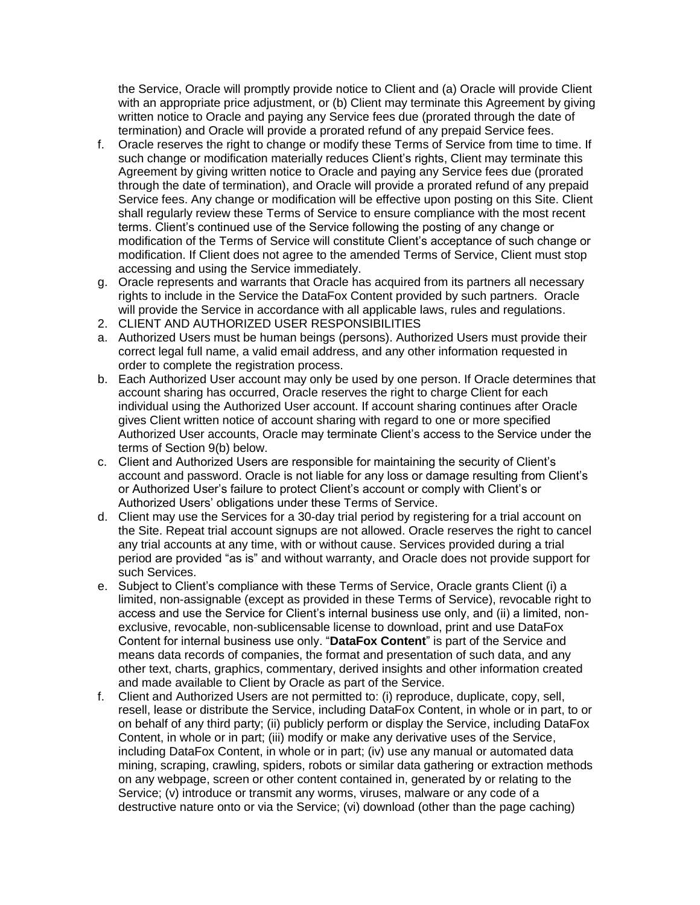the Service, Oracle will promptly provide notice to Client and (a) Oracle will provide Client with an appropriate price adjustment, or (b) Client may terminate this Agreement by giving written notice to Oracle and paying any Service fees due (prorated through the date of termination) and Oracle will provide a prorated refund of any prepaid Service fees.

- f. Oracle reserves the right to change or modify these Terms of Service from time to time. If such change or modification materially reduces Client's rights, Client may terminate this Agreement by giving written notice to Oracle and paying any Service fees due (prorated through the date of termination), and Oracle will provide a prorated refund of any prepaid Service fees. Any change or modification will be effective upon posting on this Site. Client shall regularly review these Terms of Service to ensure compliance with the most recent terms. Client's continued use of the Service following the posting of any change or modification of the Terms of Service will constitute Client's acceptance of such change or modification. If Client does not agree to the amended Terms of Service, Client must stop accessing and using the Service immediately.
- g. Oracle represents and warrants that Oracle has acquired from its partners all necessary rights to include in the Service the DataFox Content provided by such partners. Oracle will provide the Service in accordance with all applicable laws, rules and regulations.
- 2. CLIENT AND AUTHORIZED USER RESPONSIBILITIES
- a. Authorized Users must be human beings (persons). Authorized Users must provide their correct legal full name, a valid email address, and any other information requested in order to complete the registration process.
- b. Each Authorized User account may only be used by one person. If Oracle determines that account sharing has occurred, Oracle reserves the right to charge Client for each individual using the Authorized User account. If account sharing continues after Oracle gives Client written notice of account sharing with regard to one or more specified Authorized User accounts, Oracle may terminate Client's access to the Service under the terms of Section 9(b) below.
- c. Client and Authorized Users are responsible for maintaining the security of Client's account and password. Oracle is not liable for any loss or damage resulting from Client's or Authorized User's failure to protect Client's account or comply with Client's or Authorized Users' obligations under these Terms of Service.
- d. Client may use the Services for a 30-day trial period by registering for a trial account on the Site. Repeat trial account signups are not allowed. Oracle reserves the right to cancel any trial accounts at any time, with or without cause. Services provided during a trial period are provided "as is" and without warranty, and Oracle does not provide support for such Services.
- e. Subject to Client's compliance with these Terms of Service, Oracle grants Client (i) a limited, non-assignable (except as provided in these Terms of Service), revocable right to access and use the Service for Client's internal business use only, and (ii) a limited, nonexclusive, revocable, non-sublicensable license to download, print and use DataFox Content for internal business use only. "**DataFox Content**" is part of the Service and means data records of companies, the format and presentation of such data, and any other text, charts, graphics, commentary, derived insights and other information created and made available to Client by Oracle as part of the Service.
- f. Client and Authorized Users are not permitted to: (i) reproduce, duplicate, copy, sell, resell, lease or distribute the Service, including DataFox Content, in whole or in part, to or on behalf of any third party; (ii) publicly perform or display the Service, including DataFox Content, in whole or in part; (iii) modify or make any derivative uses of the Service, including DataFox Content, in whole or in part; (iv) use any manual or automated data mining, scraping, crawling, spiders, robots or similar data gathering or extraction methods on any webpage, screen or other content contained in, generated by or relating to the Service; (v) introduce or transmit any worms, viruses, malware or any code of a destructive nature onto or via the Service; (vi) download (other than the page caching)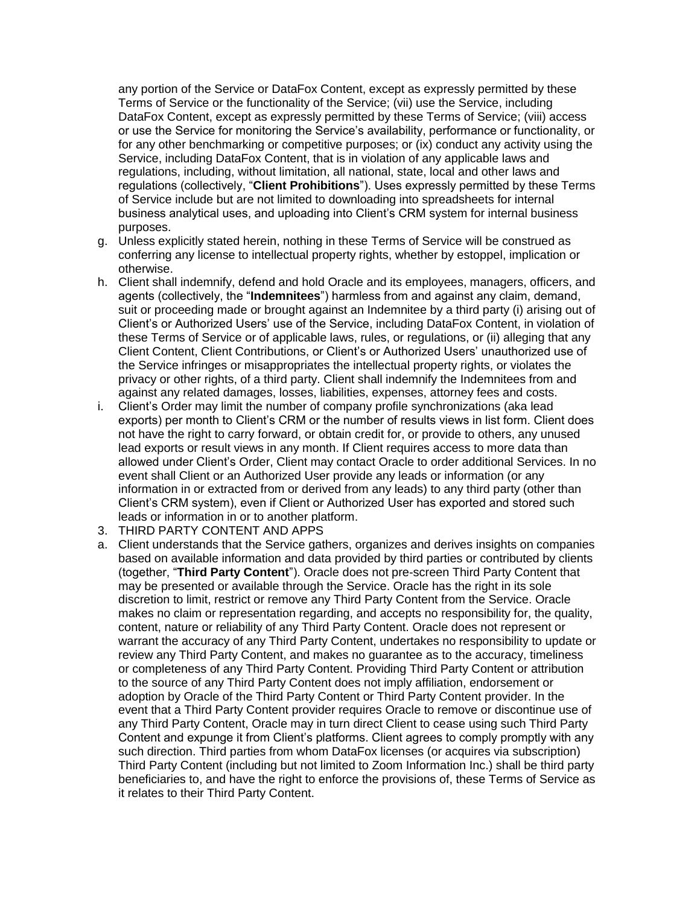any portion of the Service or DataFox Content, except as expressly permitted by these Terms of Service or the functionality of the Service; (vii) use the Service, including DataFox Content, except as expressly permitted by these Terms of Service; (viii) access or use the Service for monitoring the Service's availability, performance or functionality, or for any other benchmarking or competitive purposes; or (ix) conduct any activity using the Service, including DataFox Content, that is in violation of any applicable laws and regulations, including, without limitation, all national, state, local and other laws and regulations (collectively, "**Client Prohibitions**"). Uses expressly permitted by these Terms of Service include but are not limited to downloading into spreadsheets for internal business analytical uses, and uploading into Client's CRM system for internal business purposes.

- g. Unless explicitly stated herein, nothing in these Terms of Service will be construed as conferring any license to intellectual property rights, whether by estoppel, implication or otherwise.
- h. Client shall indemnify, defend and hold Oracle and its employees, managers, officers, and agents (collectively, the "**Indemnitees**") harmless from and against any claim, demand, suit or proceeding made or brought against an Indemnitee by a third party (i) arising out of Client's or Authorized Users' use of the Service, including DataFox Content, in violation of these Terms of Service or of applicable laws, rules, or regulations, or (ii) alleging that any Client Content, Client Contributions, or Client's or Authorized Users' unauthorized use of the Service infringes or misappropriates the intellectual property rights, or violates the privacy or other rights, of a third party. Client shall indemnify the Indemnitees from and against any related damages, losses, liabilities, expenses, attorney fees and costs.
- i. Client's Order may limit the number of company profile synchronizations (aka lead exports) per month to Client's CRM or the number of results views in list form. Client does not have the right to carry forward, or obtain credit for, or provide to others, any unused lead exports or result views in any month. If Client requires access to more data than allowed under Client's Order, Client may contact Oracle to order additional Services. In no event shall Client or an Authorized User provide any leads or information (or any information in or extracted from or derived from any leads) to any third party (other than Client's CRM system), even if Client or Authorized User has exported and stored such leads or information in or to another platform.
- 3. THIRD PARTY CONTENT AND APPS
- a. Client understands that the Service gathers, organizes and derives insights on companies based on available information and data provided by third parties or contributed by clients (together, "**Third Party Content**"). Oracle does not pre-screen Third Party Content that may be presented or available through the Service. Oracle has the right in its sole discretion to limit, restrict or remove any Third Party Content from the Service. Oracle makes no claim or representation regarding, and accepts no responsibility for, the quality, content, nature or reliability of any Third Party Content. Oracle does not represent or warrant the accuracy of any Third Party Content, undertakes no responsibility to update or review any Third Party Content, and makes no guarantee as to the accuracy, timeliness or completeness of any Third Party Content. Providing Third Party Content or attribution to the source of any Third Party Content does not imply affiliation, endorsement or adoption by Oracle of the Third Party Content or Third Party Content provider. In the event that a Third Party Content provider requires Oracle to remove or discontinue use of any Third Party Content, Oracle may in turn direct Client to cease using such Third Party Content and expunge it from Client's platforms. Client agrees to comply promptly with any such direction. Third parties from whom DataFox licenses (or acquires via subscription) Third Party Content (including but not limited to Zoom Information Inc.) shall be third party beneficiaries to, and have the right to enforce the provisions of, these Terms of Service as it relates to their Third Party Content.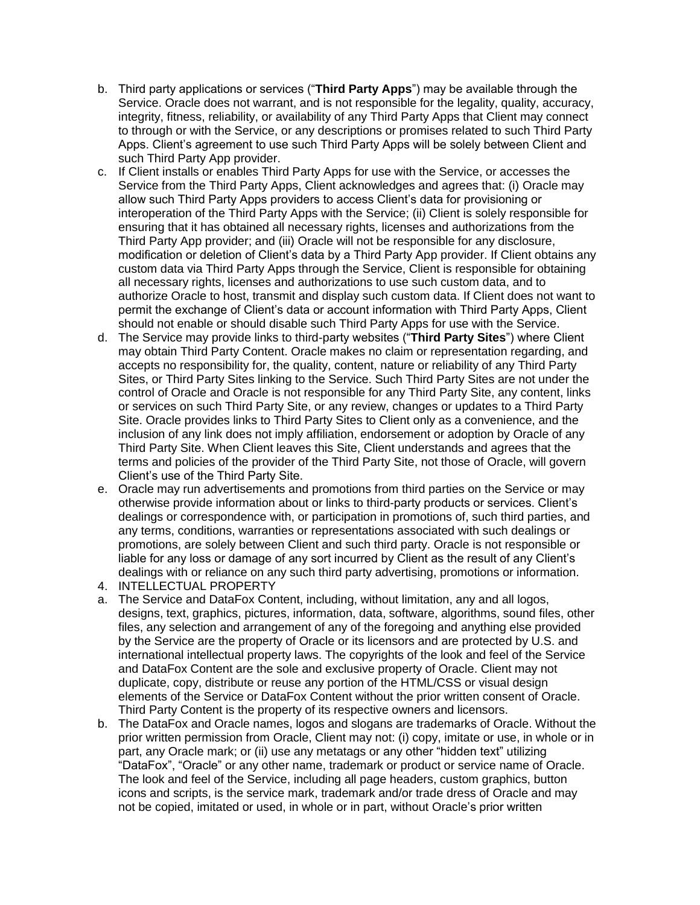- b. Third party applications or services ("**Third Party Apps**") may be available through the Service. Oracle does not warrant, and is not responsible for the legality, quality, accuracy, integrity, fitness, reliability, or availability of any Third Party Apps that Client may connect to through or with the Service, or any descriptions or promises related to such Third Party Apps. Client's agreement to use such Third Party Apps will be solely between Client and such Third Party App provider.
- c. If Client installs or enables Third Party Apps for use with the Service, or accesses the Service from the Third Party Apps, Client acknowledges and agrees that: (i) Oracle may allow such Third Party Apps providers to access Client's data for provisioning or interoperation of the Third Party Apps with the Service; (ii) Client is solely responsible for ensuring that it has obtained all necessary rights, licenses and authorizations from the Third Party App provider; and (iii) Oracle will not be responsible for any disclosure, modification or deletion of Client's data by a Third Party App provider. If Client obtains any custom data via Third Party Apps through the Service, Client is responsible for obtaining all necessary rights, licenses and authorizations to use such custom data, and to authorize Oracle to host, transmit and display such custom data. If Client does not want to permit the exchange of Client's data or account information with Third Party Apps, Client should not enable or should disable such Third Party Apps for use with the Service.
- d. The Service may provide links to third-party websites ("**Third Party Sites**") where Client may obtain Third Party Content. Oracle makes no claim or representation regarding, and accepts no responsibility for, the quality, content, nature or reliability of any Third Party Sites, or Third Party Sites linking to the Service. Such Third Party Sites are not under the control of Oracle and Oracle is not responsible for any Third Party Site, any content, links or services on such Third Party Site, or any review, changes or updates to a Third Party Site. Oracle provides links to Third Party Sites to Client only as a convenience, and the inclusion of any link does not imply affiliation, endorsement or adoption by Oracle of any Third Party Site. When Client leaves this Site, Client understands and agrees that the terms and policies of the provider of the Third Party Site, not those of Oracle, will govern Client's use of the Third Party Site.
- e. Oracle may run advertisements and promotions from third parties on the Service or may otherwise provide information about or links to third-party products or services. Client's dealings or correspondence with, or participation in promotions of, such third parties, and any terms, conditions, warranties or representations associated with such dealings or promotions, are solely between Client and such third party. Oracle is not responsible or liable for any loss or damage of any sort incurred by Client as the result of any Client's dealings with or reliance on any such third party advertising, promotions or information.
- 4. INTELLECTUAL PROPERTY
- a. The Service and DataFox Content, including, without limitation, any and all logos, designs, text, graphics, pictures, information, data, software, algorithms, sound files, other files, any selection and arrangement of any of the foregoing and anything else provided by the Service are the property of Oracle or its licensors and are protected by U.S. and international intellectual property laws. The copyrights of the look and feel of the Service and DataFox Content are the sole and exclusive property of Oracle. Client may not duplicate, copy, distribute or reuse any portion of the HTML/CSS or visual design elements of the Service or DataFox Content without the prior written consent of Oracle. Third Party Content is the property of its respective owners and licensors.
- b. The DataFox and Oracle names, logos and slogans are trademarks of Oracle. Without the prior written permission from Oracle, Client may not: (i) copy, imitate or use, in whole or in part, any Oracle mark; or (ii) use any metatags or any other "hidden text" utilizing "DataFox", "Oracle" or any other name, trademark or product or service name of Oracle. The look and feel of the Service, including all page headers, custom graphics, button icons and scripts, is the service mark, trademark and/or trade dress of Oracle and may not be copied, imitated or used, in whole or in part, without Oracle's prior written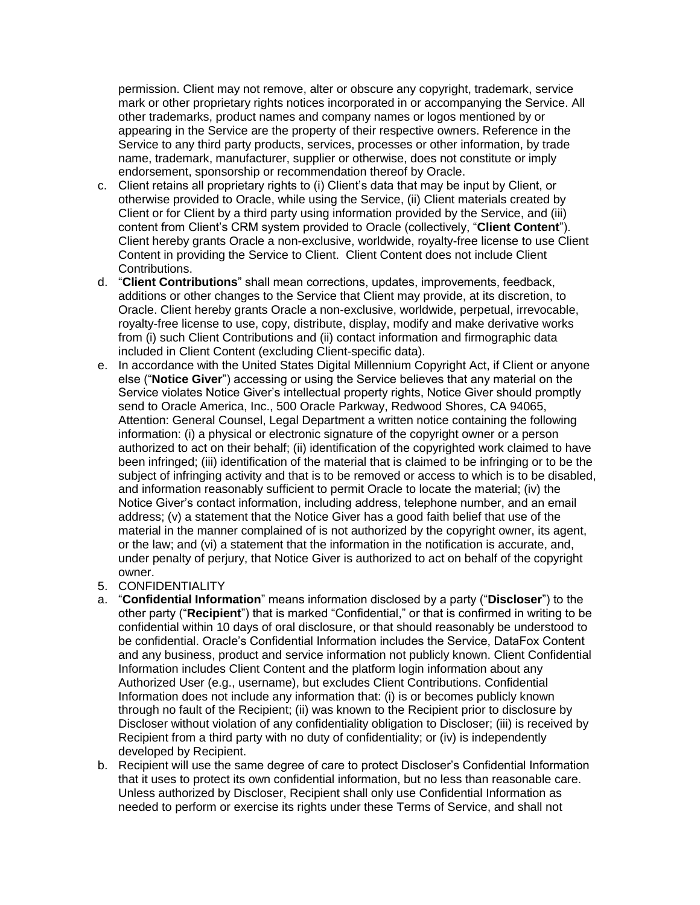permission. Client may not remove, alter or obscure any copyright, trademark, service mark or other proprietary rights notices incorporated in or accompanying the Service. All other trademarks, product names and company names or logos mentioned by or appearing in the Service are the property of their respective owners. Reference in the Service to any third party products, services, processes or other information, by trade name, trademark, manufacturer, supplier or otherwise, does not constitute or imply endorsement, sponsorship or recommendation thereof by Oracle.

- c. Client retains all proprietary rights to (i) Client's data that may be input by Client, or otherwise provided to Oracle, while using the Service, (ii) Client materials created by Client or for Client by a third party using information provided by the Service, and (iii) content from Client's CRM system provided to Oracle (collectively, "**Client Content**"). Client hereby grants Oracle a non-exclusive, worldwide, royalty-free license to use Client Content in providing the Service to Client. Client Content does not include Client Contributions.
- d. "**Client Contributions**" shall mean corrections, updates, improvements, feedback, additions or other changes to the Service that Client may provide, at its discretion, to Oracle. Client hereby grants Oracle a non-exclusive, worldwide, perpetual, irrevocable, royalty-free license to use, copy, distribute, display, modify and make derivative works from (i) such Client Contributions and (ii) contact information and firmographic data included in Client Content (excluding Client-specific data).
- e. In accordance with the United States Digital Millennium Copyright Act, if Client or anyone else ("**Notice Giver**") accessing or using the Service believes that any material on the Service violates Notice Giver's intellectual property rights, Notice Giver should promptly send to Oracle America, Inc., 500 Oracle Parkway, Redwood Shores, CA 94065, Attention: General Counsel, Legal Department a written notice containing the following information: (i) a physical or electronic signature of the copyright owner or a person authorized to act on their behalf; (ii) identification of the copyrighted work claimed to have been infringed; (iii) identification of the material that is claimed to be infringing or to be the subject of infringing activity and that is to be removed or access to which is to be disabled, and information reasonably sufficient to permit Oracle to locate the material; (iv) the Notice Giver's contact information, including address, telephone number, and an email address; (v) a statement that the Notice Giver has a good faith belief that use of the material in the manner complained of is not authorized by the copyright owner, its agent, or the law; and (vi) a statement that the information in the notification is accurate, and, under penalty of perjury, that Notice Giver is authorized to act on behalf of the copyright owner.
- 5. CONFIDENTIALITY
- a. "**Confidential Information**" means information disclosed by a party ("**Discloser**") to the other party ("**Recipient**") that is marked "Confidential," or that is confirmed in writing to be confidential within 10 days of oral disclosure, or that should reasonably be understood to be confidential. Oracle's Confidential Information includes the Service, DataFox Content and any business, product and service information not publicly known. Client Confidential Information includes Client Content and the platform login information about any Authorized User (e.g., username), but excludes Client Contributions. Confidential Information does not include any information that: (i) is or becomes publicly known through no fault of the Recipient; (ii) was known to the Recipient prior to disclosure by Discloser without violation of any confidentiality obligation to Discloser; (iii) is received by Recipient from a third party with no duty of confidentiality; or (iv) is independently developed by Recipient.
- b. Recipient will use the same degree of care to protect Discloser's Confidential Information that it uses to protect its own confidential information, but no less than reasonable care. Unless authorized by Discloser, Recipient shall only use Confidential Information as needed to perform or exercise its rights under these Terms of Service, and shall not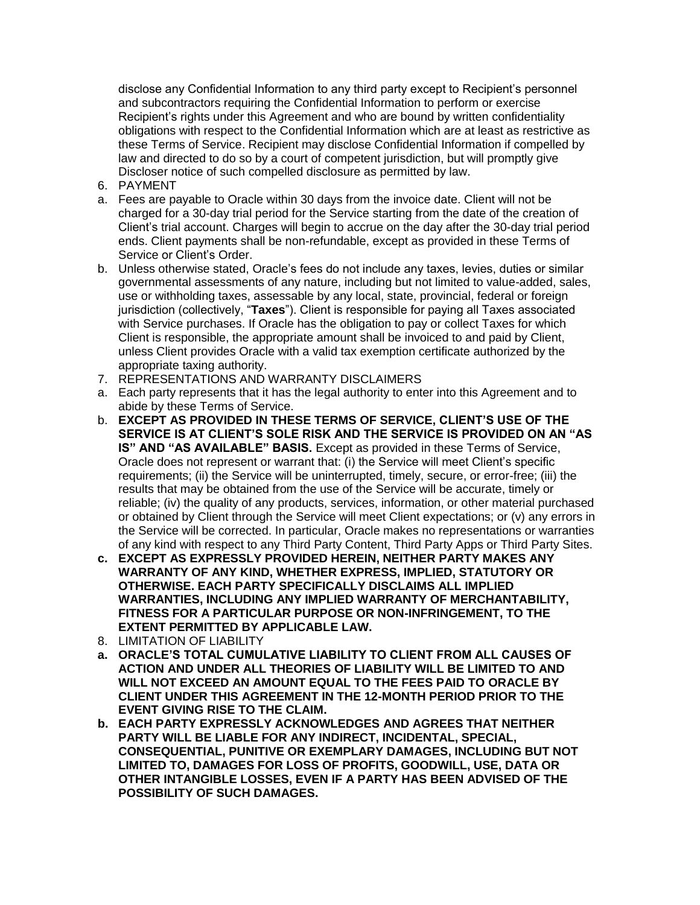disclose any Confidential Information to any third party except to Recipient's personnel and subcontractors requiring the Confidential Information to perform or exercise Recipient's rights under this Agreement and who are bound by written confidentiality obligations with respect to the Confidential Information which are at least as restrictive as these Terms of Service. Recipient may disclose Confidential Information if compelled by law and directed to do so by a court of competent jurisdiction, but will promptly give Discloser notice of such compelled disclosure as permitted by law.

- 6. PAYMENT
- a. Fees are payable to Oracle within 30 days from the invoice date. Client will not be charged for a 30-day trial period for the Service starting from the date of the creation of Client's trial account. Charges will begin to accrue on the day after the 30-day trial period ends. Client payments shall be non-refundable, except as provided in these Terms of Service or Client's Order.
- b. Unless otherwise stated, Oracle's fees do not include any taxes, levies, duties or similar governmental assessments of any nature, including but not limited to value-added, sales, use or withholding taxes, assessable by any local, state, provincial, federal or foreign jurisdiction (collectively, "**Taxes**"). Client is responsible for paying all Taxes associated with Service purchases. If Oracle has the obligation to pay or collect Taxes for which Client is responsible, the appropriate amount shall be invoiced to and paid by Client, unless Client provides Oracle with a valid tax exemption certificate authorized by the appropriate taxing authority.
- 7. REPRESENTATIONS AND WARRANTY DISCLAIMERS
- a. Each party represents that it has the legal authority to enter into this Agreement and to abide by these Terms of Service.
- b. **EXCEPT AS PROVIDED IN THESE TERMS OF SERVICE, CLIENT'S USE OF THE SERVICE IS AT CLIENT'S SOLE RISK AND THE SERVICE IS PROVIDED ON AN "AS IS" AND "AS AVAILABLE" BASIS.** Except as provided in these Terms of Service, Oracle does not represent or warrant that: (i) the Service will meet Client's specific requirements; (ii) the Service will be uninterrupted, timely, secure, or error-free; (iii) the results that may be obtained from the use of the Service will be accurate, timely or reliable; (iv) the quality of any products, services, information, or other material purchased or obtained by Client through the Service will meet Client expectations; or (v) any errors in the Service will be corrected. In particular, Oracle makes no representations or warranties of any kind with respect to any Third Party Content, Third Party Apps or Third Party Sites.
- **c. EXCEPT AS EXPRESSLY PROVIDED HEREIN, NEITHER PARTY MAKES ANY WARRANTY OF ANY KIND, WHETHER EXPRESS, IMPLIED, STATUTORY OR OTHERWISE. EACH PARTY SPECIFICALLY DISCLAIMS ALL IMPLIED WARRANTIES, INCLUDING ANY IMPLIED WARRANTY OF MERCHANTABILITY, FITNESS FOR A PARTICULAR PURPOSE OR NON-INFRINGEMENT, TO THE EXTENT PERMITTED BY APPLICABLE LAW.**
- 8. LIMITATION OF LIABILITY
- **a. ORACLE'S TOTAL CUMULATIVE LIABILITY TO CLIENT FROM ALL CAUSES OF ACTION AND UNDER ALL THEORIES OF LIABILITY WILL BE LIMITED TO AND WILL NOT EXCEED AN AMOUNT EQUAL TO THE FEES PAID TO ORACLE BY CLIENT UNDER THIS AGREEMENT IN THE 12-MONTH PERIOD PRIOR TO THE EVENT GIVING RISE TO THE CLAIM.**
- **b. EACH PARTY EXPRESSLY ACKNOWLEDGES AND AGREES THAT NEITHER PARTY WILL BE LIABLE FOR ANY INDIRECT, INCIDENTAL, SPECIAL, CONSEQUENTIAL, PUNITIVE OR EXEMPLARY DAMAGES, INCLUDING BUT NOT LIMITED TO, DAMAGES FOR LOSS OF PROFITS, GOODWILL, USE, DATA OR OTHER INTANGIBLE LOSSES, EVEN IF A PARTY HAS BEEN ADVISED OF THE POSSIBILITY OF SUCH DAMAGES.**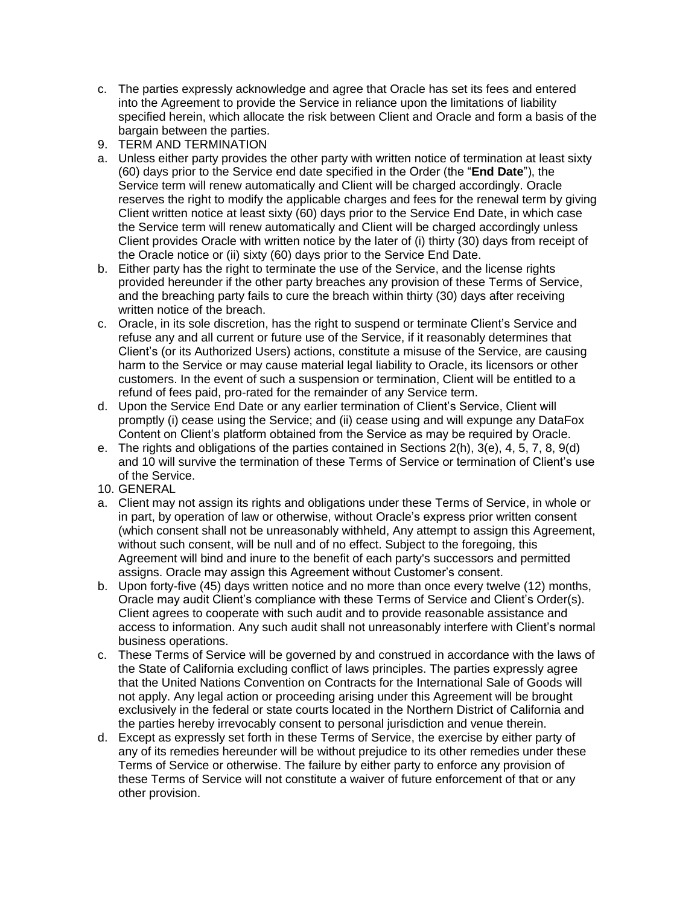- c. The parties expressly acknowledge and agree that Oracle has set its fees and entered into the Agreement to provide the Service in reliance upon the limitations of liability specified herein, which allocate the risk between Client and Oracle and form a basis of the bargain between the parties.
- 9. TERM AND TERMINATION
- a. Unless either party provides the other party with written notice of termination at least sixty (60) days prior to the Service end date specified in the Order (the "**End Date**"), the Service term will renew automatically and Client will be charged accordingly. Oracle reserves the right to modify the applicable charges and fees for the renewal term by giving Client written notice at least sixty (60) days prior to the Service End Date, in which case the Service term will renew automatically and Client will be charged accordingly unless Client provides Oracle with written notice by the later of (i) thirty (30) days from receipt of the Oracle notice or (ii) sixty (60) days prior to the Service End Date.
- b. Either party has the right to terminate the use of the Service, and the license rights provided hereunder if the other party breaches any provision of these Terms of Service, and the breaching party fails to cure the breach within thirty (30) days after receiving written notice of the breach.
- c. Oracle, in its sole discretion, has the right to suspend or terminate Client's Service and refuse any and all current or future use of the Service, if it reasonably determines that Client's (or its Authorized Users) actions, constitute a misuse of the Service, are causing harm to the Service or may cause material legal liability to Oracle, its licensors or other customers. In the event of such a suspension or termination, Client will be entitled to a refund of fees paid, pro-rated for the remainder of any Service term.
- d. Upon the Service End Date or any earlier termination of Client's Service, Client will promptly (i) cease using the Service; and (ii) cease using and will expunge any DataFox Content on Client's platform obtained from the Service as may be required by Oracle.
- e. The rights and obligations of the parties contained in Sections 2(h), 3(e), 4, 5, 7, 8, 9(d) and 10 will survive the termination of these Terms of Service or termination of Client's use of the Service.
- 10. GENERAL
- a. Client may not assign its rights and obligations under these Terms of Service, in whole or in part, by operation of law or otherwise, without Oracle's express prior written consent (which consent shall not be unreasonably withheld, Any attempt to assign this Agreement, without such consent, will be null and of no effect. Subject to the foregoing, this Agreement will bind and inure to the benefit of each party's successors and permitted assigns. Oracle may assign this Agreement without Customer's consent.
- b. Upon forty-five (45) days written notice and no more than once every twelve (12) months, Oracle may audit Client's compliance with these Terms of Service and Client's Order(s). Client agrees to cooperate with such audit and to provide reasonable assistance and access to information. Any such audit shall not unreasonably interfere with Client's normal business operations.
- c. These Terms of Service will be governed by and construed in accordance with the laws of the State of California excluding conflict of laws principles. The parties expressly agree that the United Nations Convention on Contracts for the International Sale of Goods will not apply. Any legal action or proceeding arising under this Agreement will be brought exclusively in the federal or state courts located in the Northern District of California and the parties hereby irrevocably consent to personal jurisdiction and venue therein.
- d. Except as expressly set forth in these Terms of Service, the exercise by either party of any of its remedies hereunder will be without prejudice to its other remedies under these Terms of Service or otherwise. The failure by either party to enforce any provision of these Terms of Service will not constitute a waiver of future enforcement of that or any other provision.